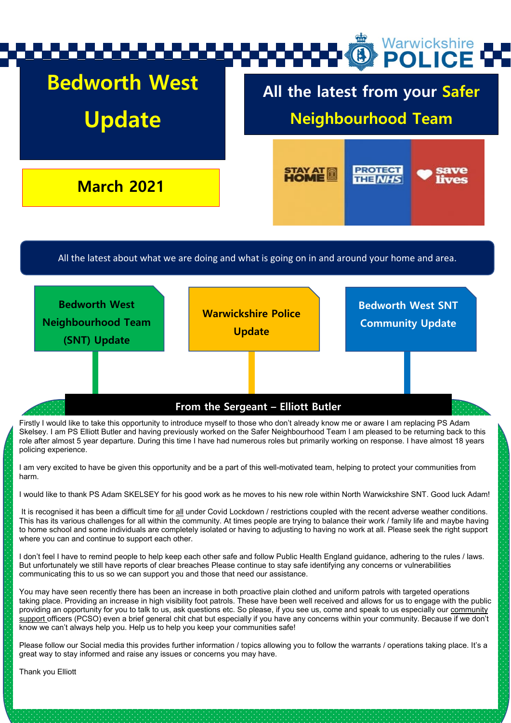

I would like to thank PS Adam SKELSEY for his good work as he moves to his new role within North Warwickshire SNT. Good luck Adam!

It is recognised it has been a difficult time for all under Covid Lockdown / restrictions coupled with the recent adverse weather conditions. This has its various challenges for all within the community. At times people are trying to balance their work / family life and maybe having to home school and some individuals are completely isolated or having to adjusting to having no work at all. Please seek the right support where you can and continue to support each other.

I don't feel I have to remind people to help keep each other safe and follow Public Health England guidance, adhering to the rules / laws. But unfortunately we still have reports of clear breaches Please continue to stay safe identifying any concerns or vulnerabilities communicating this to us so we can support you and those that need our assistance.

You may have seen recently there has been an increase in both proactive plain clothed and uniform patrols with targeted operations taking place. Providing an increase in high visibility foot patrols. These have been well received and allows for us to engage with the public providing an opportunity for you to talk to us, ask questions etc. So please, if you see us, come and speak to us especially our community support officers (PCSO) even a brief general chit chat but especially if you have any concerns within your community. Because if we don't know we can't always help you. Help us to help you keep your communities safe!

Please follow our Social media this provides further information / topics allowing you to follow the warrants / operations taking place. It's a great way to stay informed and raise any issues or concerns you may have.

Thank you Elliott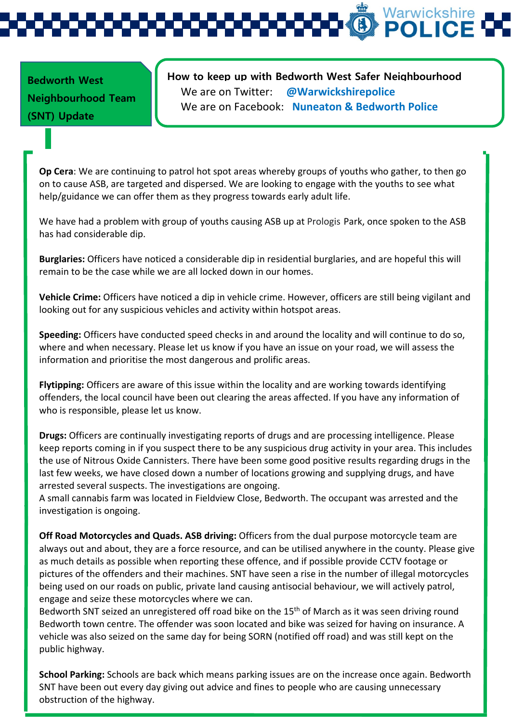Warwickshire<br>**POLICE** 

**Bedworth West Neighbourhood Team (SNT) Update** 

**How to keep up with Bedworth West Safer Neighbourhood**  We are on Twitter: **@Warwickshirepolice** We are on Facebook: **Nuneaton & Bedworth Police**

**Op Cera**: We are continuing to patrol hot spot areas whereby groups of youths who gather, to then go on to cause ASB, are targeted and dispersed. We are looking to engage with the youths to see what help/guidance we can offer them as they progress towards early adult life.

We have had a problem with group of youths causing ASB up at Prologis Park, once spoken to the ASB has had considerable dip.

**Burglaries:** Officers have noticed a considerable dip in residential burglaries, and are hopeful this will remain to be the case while we are all locked down in our homes.

**Vehicle Crime:** Officers have noticed a dip in vehicle crime. However, officers are still being vigilant and looking out for any suspicious vehicles and activity within hotspot areas.

**Speeding:** Officers have conducted speed checks in and around the locality and will continue to do so, where and when necessary. Please let us know if you have an issue on your road, we will assess the information and prioritise the most dangerous and prolific areas.

**Flytipping:** Officers are aware of this issue within the locality and are working towards identifying offenders, the local council have been out clearing the areas affected. If you have any information of who is responsible, please let us know.

**Drugs:** Officers are continually investigating reports of drugs and are processing intelligence. Please keep reports coming in if you suspect there to be any suspicious drug activity in your area. This includes the use of Nitrous Oxide Cannisters. There have been some good positive results regarding drugs in the last few weeks, we have closed down a number of locations growing and supplying drugs, and have arrested several suspects. The investigations are ongoing.

A small cannabis farm was located in Fieldview Close, Bedworth. The occupant was arrested and the investigation is ongoing.

**Off Road Motorcycles and Quads. ASB driving:** Officers from the dual purpose motorcycle team are always out and about, they are a force resource, and can be utilised anywhere in the county. Please give as much details as possible when reporting these offence, and if possible provide CCTV footage or pictures of the offenders and their machines. SNT have seen a rise in the number of illegal motorcycles being used on our roads on public, private land causing antisocial behaviour, we will actively patrol, engage and seize these motorcycles where we can.

Bedworth SNT seized an unregistered off road bike on the  $15<sup>th</sup>$  of March as it was seen driving round Bedworth town centre. The offender was soon located and bike was seized for having on insurance. A vehicle was also seized on the same day for being SORN (notified off road) and was still kept on the public highway.

**School Parking:** Schools are back which means parking issues are on the increase once again. Bedworth SNT have been out every day giving out advice and fines to people who are causing unnecessary obstruction of the highway.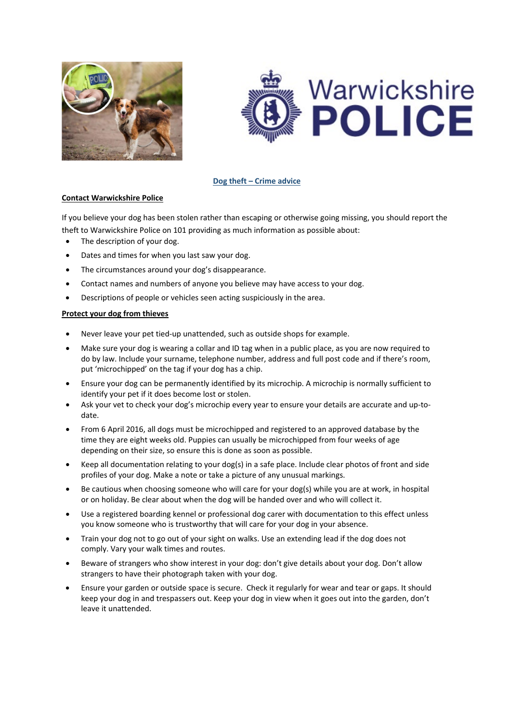



### **Dog theft – Crime advice**

### **Contact Warwickshire Police**

If you believe your dog has been stolen rather than escaping or otherwise going missing, you should report the theft to Warwickshire Police on 101 providing as much information as possible about:

- The description of your dog.
- Dates and times for when you last saw your dog.
- The circumstances around your dog's disappearance.
- Contact names and numbers of anyone you believe may have access to your dog.
- Descriptions of people or vehicles seen acting suspiciously in the area.

### **Protect your dog from thieves**

- Never leave your pet tied-up unattended, such as outside shops for example.
- Make sure your dog is wearing a collar and ID tag when in a public place, as you are now required to do by law. Include your surname, telephone number, address and full post code and if there's room, put 'microchipped' on the tag if your dog has a chip.
- Ensure your dog can be [permanently](http://www.nottinghamshire.police.uk/advice/animals/microchip) identified by its microchip. A microchip is normally sufficient to identify your pet if it does become lost or stolen.
- Ask your vet to check your dog's microchip every year to ensure your details are accurate and up-todate.
- From 6 April 2016, all dogs must be microchipped and registered to an approved database by the time they are eight weeks old. Puppies can usually be microchipped from four weeks of age depending on their size, so ensure this is done as soon as possible.
- Keep all documentation relating to your dog(s) in a safe place. Include clear photos of front and side profiles of your dog. Make a note or take a picture of any unusual markings.
- Be cautious when choosing someone who will care for your dog(s) while you are at work, in hospital or on holiday. Be clear about when the dog will be handed over and who will collect it.
- Use a registered boarding kennel or professional dog carer with documentation to this effect unless you know someone who is trustworthy that will care for your dog in your absence.
- Train your dog not to go out of your sight on walks. Use an extending lead if the dog does not comply. Vary your walk times and routes.
- Beware of strangers who show interest in your dog: don't give details about your dog. Don't allow strangers to have their photograph taken with your dog.
- Ensure your garden or outside space is secure. Check it regularly for wear and tear or gaps. It should keep your dog in and trespassers out. Keep your dog in view when it goes out into the garden, don't leave it unattended.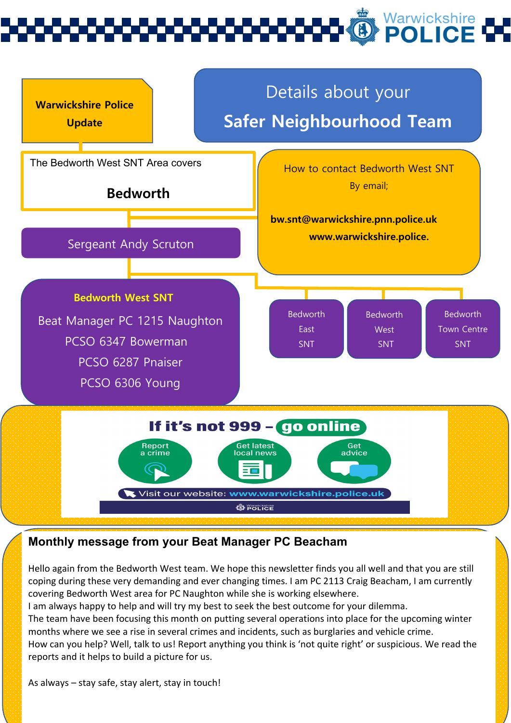# Warwickshire<br>**POLICE**



## **Monthly message from your Beat Manager PC Beacham**

Hello again from the Bedworth West team. We hope this newsletter finds you all well and that you are still coping during these very demanding and ever changing times. I am PC 2113 Craig Beacham, I am currently covering Bedworth West area for PC Naughton while she is working elsewhere.

I am always happy to help and will try my best to seek the best outcome for your dilemma.

The team have been focusing this month on putting several operations into place for the upcoming winter months where we see a rise in several crimes and incidents, such as burglaries and vehicle crime.

How can you help? Well, talk to us! Report anything you think is 'not quite right' or suspicious. We read the reports and it helps to build a picture for us.

As always – stay safe, stay alert, stay in touch!